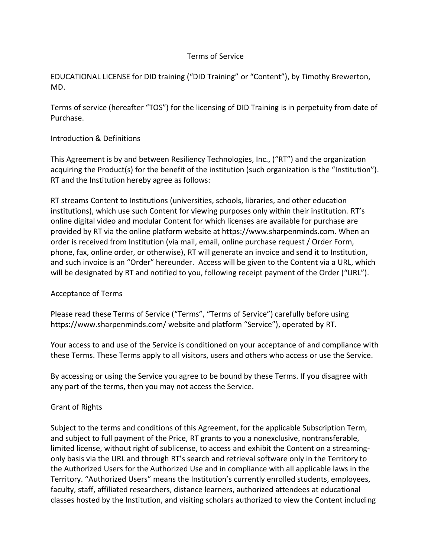#### Terms of Service

EDUCATIONAL LICENSE for DID training ("DID Training" or "Content"), by Timothy Brewerton, MD.

Terms of service (hereafter "TOS") for the licensing of DID Training is in perpetuity from date of Purchase.

#### Introduction & Definitions

This Agreement is by and between Resiliency Technologies, Inc., ("RT") and the organization acquiring the Product(s) for the benefit of the institution (such organization is the "Institution"). RT and the Institution hereby agree as follows:

RT streams Content to Institutions (universities, schools, libraries, and other education institutions), which use such Content for viewing purposes only within their institution. RT's online digital video and modular Content for which licenses are available for purchase are provided by RT via the online platform website at https://www.sharpenminds.com. When an order is received from Institution (via mail, email, online purchase request / Order Form, phone, fax, online order, or otherwise), RT will generate an invoice and send it to Institution, and such invoice is an "Order" hereunder. Access will be given to the Content via a URL, which will be designated by RT and notified to you, following receipt payment of the Order ("URL").

#### Acceptance of Terms

Please read these Terms of Service ("Terms", "Terms of Service") carefully before using https://www.sharpenminds.com/ website and platform "Service"), operated by RT.

Your access to and use of the Service is conditioned on your acceptance of and compliance with these Terms. These Terms apply to all visitors, users and others who access or use the Service.

By accessing or using the Service you agree to be bound by these Terms. If you disagree with any part of the terms, then you may not access the Service.

# Grant of Rights

Subject to the terms and conditions of this Agreement, for the applicable Subscription Term, and subject to full payment of the Price, RT grants to you a nonexclusive, nontransferable, limited license, without right of sublicense, to access and exhibit the Content on a streamingonly basis via the URL and through RT's search and retrieval software only in the Territory to the Authorized Users for the Authorized Use and in compliance with all applicable laws in the Territory. "Authorized Users" means the Institution's currently enrolled students, employees, faculty, staff, affiliated researchers, distance learners, authorized attendees at educational classes hosted by the Institution, and visiting scholars authorized to view the Content including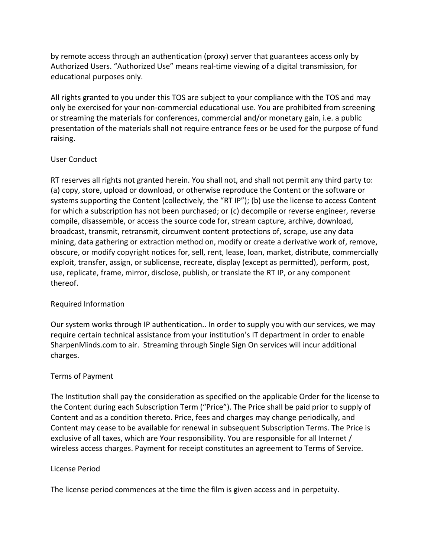by remote access through an authentication (proxy) server that guarantees access only by Authorized Users. "Authorized Use" means real-time viewing of a digital transmission, for educational purposes only.

All rights granted to you under this TOS are subject to your compliance with the TOS and may only be exercised for your non-commercial educational use. You are prohibited from screening or streaming the materials for conferences, commercial and/or monetary gain, i.e. a public presentation of the materials shall not require entrance fees or be used for the purpose of fund raising.

# User Conduct

RT reserves all rights not granted herein. You shall not, and shall not permit any third party to: (a) copy, store, upload or download, or otherwise reproduce the Content or the software or systems supporting the Content (collectively, the "RT IP"); (b) use the license to access Content for which a subscription has not been purchased; or (c) decompile or reverse engineer, reverse compile, disassemble, or access the source code for, stream capture, archive, download, broadcast, transmit, retransmit, circumvent content protections of, scrape, use any data mining, data gathering or extraction method on, modify or create a derivative work of, remove, obscure, or modify copyright notices for, sell, rent, lease, loan, market, distribute, commercially exploit, transfer, assign, or sublicense, recreate, display (except as permitted), perform, post, use, replicate, frame, mirror, disclose, publish, or translate the RT IP, or any component thereof.

# Required Information

Our system works through IP authentication.. In order to supply you with our services, we may require certain technical assistance from your institution's IT department in order to enable SharpenMinds.com to air. Streaming through Single Sign On services will incur additional charges.

# Terms of Payment

The Institution shall pay the consideration as specified on the applicable Order for the license to the Content during each Subscription Term ("Price"). The Price shall be paid prior to supply of Content and as a condition thereto. Price, fees and charges may change periodically, and Content may cease to be available for renewal in subsequent Subscription Terms. The Price is exclusive of all taxes, which are Your responsibility. You are responsible for all Internet / wireless access charges. Payment for receipt constitutes an agreement to Terms of Service.

# License Period

The license period commences at the time the film is given access and in perpetuity.